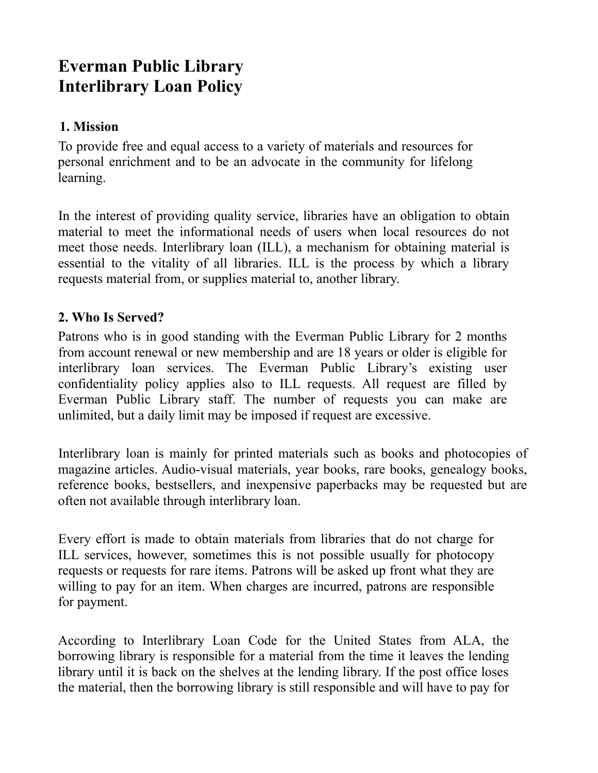# **Everman Public Library Interlibrary Loan Policy**

## **1. Mission**

To provide free and equal access to a variety of materials and resources for personal enrichment and to be an advocate in the community for lifelong learning.

In the interest of providing quality service, libraries have an obligation to obtain material to meet the informational needs of users when local resources do not meet those needs. Interlibrary loan (ILL), a mechanism for obtaining material is essential to the vitality of all libraries. ILL is the process by which a library requests material from, or supplies material to, another library.

# **2. Who Is Served?**

Patrons who is in good standing with the Everman Public Library for 2 months from account renewal or new membership and are 18 years or older is eligible for interlibrary loan services. The Everman Public Library's existing user confidentiality policy applies also to ILL requests. All request are filled by Everman Public Library staff. The number of requests you can make are unlimited, but a daily limit may be imposed if request are excessive.

Interlibrary loan is mainly for printed materials such as books and photocopies of magazine articles. Audio-visual materials, year books, rare books, genealogy books, reference books, bestsellers, and inexpensive paperbacks may be requested but are often not available through interlibrary loan.

Every effort is made to obtain materials from libraries that do not charge for ILL services, however, sometimes this is not possible usually for photocopy requests or requests for rare items. Patrons will be asked up front what they are willing to pay for an item. When charges are incurred, patrons are responsible for payment.

According to Interlibrary Loan Code for the United States from ALA, the borrowing library is responsible for a material from the time it leaves the lending library until it is back on the shelves at the lending library. If the post office loses the material, then the borrowing library is still responsible and will have to pay for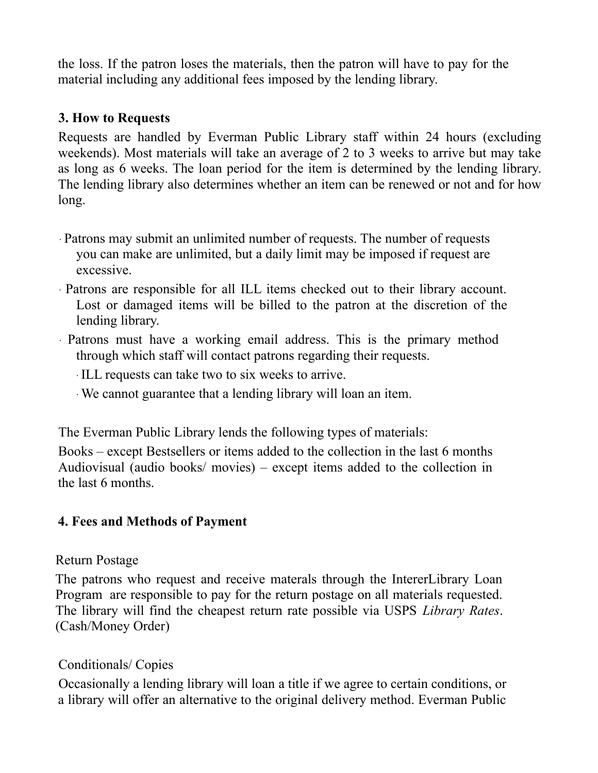the loss. If the patron loses the materials, then the patron will have to pay for the material including any additional fees imposed by the lending library.

### **3. How to Requests**

Requests are handled by Everman Public Library staff within 24 hours (excluding weekends). Most materials will take an average of 2 to 3 weeks to arrive but may take as long as 6 weeks. The loan period for the item is determined by the lending library. The lending library also determines whether an item can be renewed or not and for how long.

- ∙ Patrons may submit an unlimited number of requests. The number of requests you can make are unlimited, but a daily limit may be imposed if request are excessive.
- ∙ Patrons are responsible for all ILL items checked out to their library account. Lost or damaged items will be billed to the patron at the discretion of the lending library.
- ∙ Patrons must have a working email address. This is the primary method through which staff will contact patrons regarding their requests.
	- ∙ ILL requests can take two to six weeks to arrive.
	- ∙ We cannot guarantee that a lending library will loan an item.

The Everman Public Library lends the following types of materials:

Books – except Bestsellers or items added to the collection in the last 6 months Audiovisual (audio books/ movies) – except items added to the collection in the last 6 months.

## **4. Fees and Methods of Payment**

#### Return Postage

The patrons who request and receive materals through the IntererLibrary Loan Program are responsible to pay for the return postage on all materials requested. The library will find the cheapest return rate possible via USPS *Library Rates*. (Cash/Money Order)

## Conditionals/ Copies

Occasionally a lending library will loan a title if we agree to certain conditions, or a library will offer an alternative to the original delivery method. Everman Public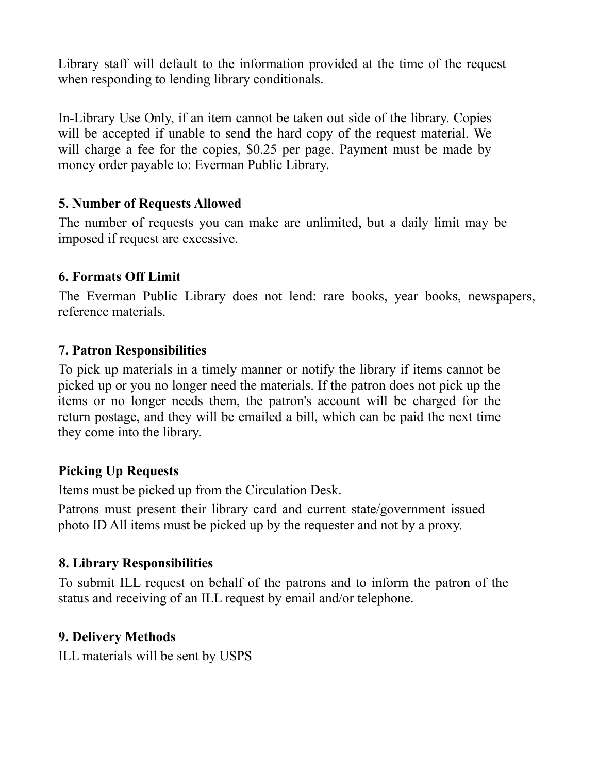Library staff will default to the information provided at the time of the request when responding to lending library conditionals.

In-Library Use Only, if an item cannot be taken out side of the library. Copies will be accepted if unable to send the hard copy of the request material. We will charge a fee for the copies, \$0.25 per page. Payment must be made by money order payable to: Everman Public Library.

## **5. Number of Requests Allowed**

The number of requests you can make are unlimited, but a daily limit may be imposed if request are excessive.

#### **6. Formats Off Limit**

The Everman Public Library does not lend: rare books, year books, newspapers, reference materials.

#### **7. Patron Responsibilities**

To pick up materials in a timely manner or notify the library if items cannot be picked up or you no longer need the materials. If the patron does not pick up the items or no longer needs them, the patron's account will be charged for the return postage, and they will be emailed a bill, which can be paid the next time they come into the library.

#### **Picking Up Requests**

Items must be picked up from the Circulation Desk.

Patrons must present their library card and current state/government issued photo ID All items must be picked up by the requester and not by a proxy.

#### **8. Library Responsibilities**

To submit ILL request on behalf of the patrons and to inform the patron of the status and receiving of an ILL request by email and/or telephone.

#### **9. Delivery Methods**

ILL materials will be sent by USPS